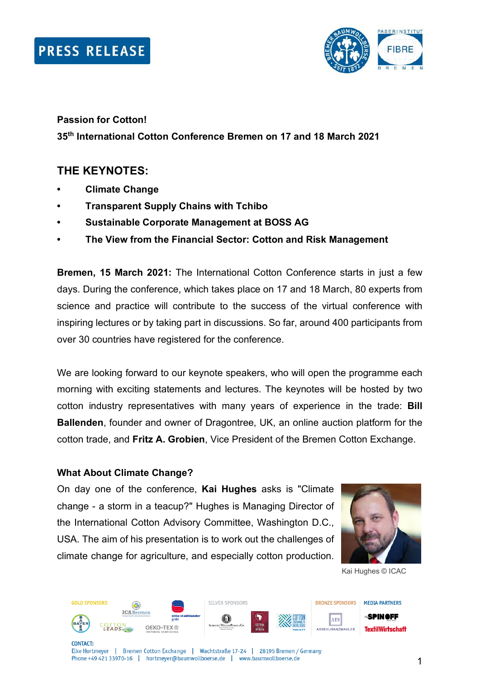

## **Passion for Cotton! 35th International Cotton Conference Bremen on 17 and 18 March 2021**

### **THE KEYNOTES:**

- **• Climate Change**
- **• Transparent Supply Chains with Tchibo**
- **• Sustainable Corporate Management at BOSS AG**
- **• The View from the Financial Sector: Cotton and Risk Management**

**Bremen, 15 March 2021:** The International Cotton Conference starts in just a few days. During the conference, which takes place on 17 and 18 March, 80 experts from science and practice will contribute to the success of the virtual conference with inspiring lectures or by taking part in discussions. So far, around 400 participants from over 30 countries have registered for the conference.

We are looking forward to our keynote speakers, who will open the programme each morning with exciting statements and lectures. The keynotes will be hosted by two cotton industry representatives with many years of experience in the trade: **Bill Ballenden**, founder and owner of Dragontree, UK, an online auction platform for the cotton trade, and **Fritz A. Grobien**, Vice President of the Bremen Cotton Exchange.

#### **What About Climate Change?**

On day one of the conference, **Kai Hughes** asks is "Climate change - a storm in a teacup?" Hughes is Managing Director of the International Cotton Advisory Committee, Washington D.C., USA. The aim of his presentation is to work out the challenges of climate change for agriculture, and especially cotton production.



Kai Hughes © ICAC



Elke Hortmeyer | Bremen Cotton Exchange | Wachtstraße 17-24 | 28195 Bremen / Germany Phone +49 421 33970-16 | hortmeyer@baumwollboerse.de | www.baumwollboerse.de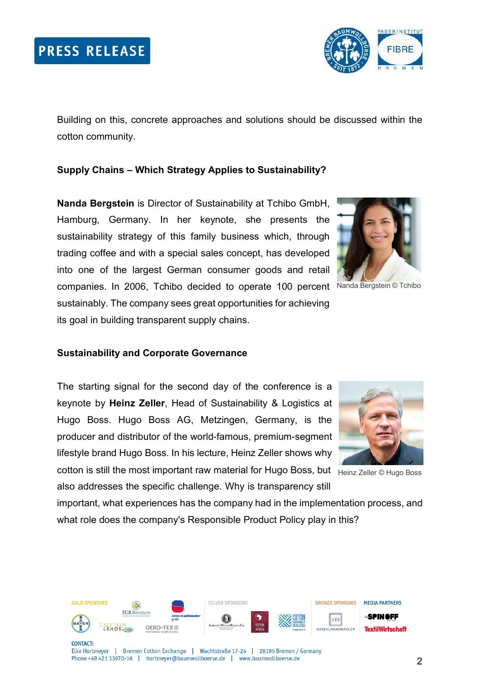

Building on this, concrete approaches and solutions should be discussed within the cotton community.

#### **Supply Chains – Which Strategy Applies to Sustainability?**

**Nanda Bergstein** is Director of Sustainability at Tchibo GmbH, Hamburg, Germany. In her keynote, she presents the sustainability strategy of this family business which, through trading coffee and with a special sales concept, has developed into one of the largest German consumer goods and retail companies. In 2006, Tchibo decided to operate 100 percent Nanda Bergstein © Tchibo sustainably. The company sees great opportunities for achieving its goal in building transparent supply chains.



#### **Sustainability and Corporate Governance**

The starting signal for the second day of the conference is a keynote by **Heinz Zeller**, Head of Sustainability & Logistics at Hugo Boss. Hugo Boss AG, Metzingen, Germany, is the producer and distributor of the world-famous, premium-segment lifestyle brand Hugo Boss. In his lecture, Heinz Zeller shows why

cotton is still the most important raw material for Hugo Boss, but <sub>Heinz Zeller © Hugo Boss</sub> also addresses the specific challenge. Why is transparency still

important, what experiences has the company had in the implementation process, and what role does the company's Responsible Product Policy play in this?

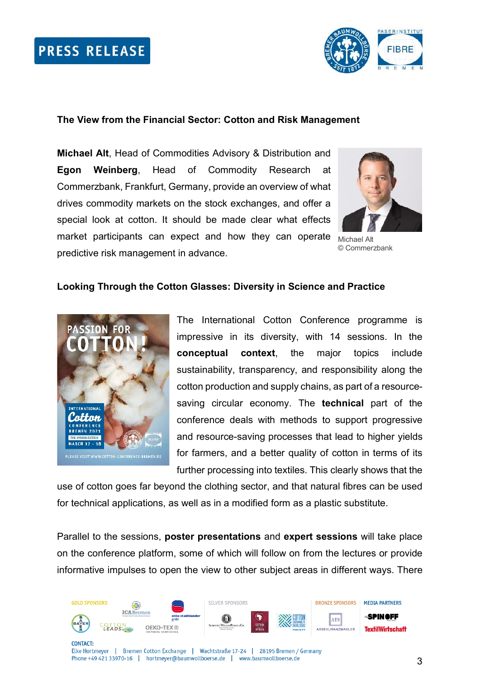## **PRESS RELEASE**



#### **The View from the Financial Sector: Cotton and Risk Management**

**Michael Alt**, Head of Commodities Advisory & Distribution and **Egon Weinberg**, Head of Commodity Research at Commerzbank, Frankfurt, Germany, provide an overview of what drives commodity markets on the stock exchanges, and offer a special look at cotton. It should be made clear what effects market participants can expect and how they can operate predictive risk management in advance.



Michael Alt © Commerzbank

#### **Looking Through the Cotton Glasses: Diversity in Science and Practice**



The International Cotton Conference programme is impressive in its diversity, with 14 sessions. In the **conceptual context**, the major topics include sustainability, transparency, and responsibility along the cotton production and supply chains, as part of a resourcesaving circular economy. The **technical** part of the conference deals with methods to support progressive and resource-saving processes that lead to higher yields for farmers, and a better quality of cotton in terms of its further processing into textiles. This clearly shows that the

use of cotton goes far beyond the clothing sector, and that natural fibres can be used for technical applications, as well as in a modified form as a plastic substitute.

Parallel to the sessions, **poster presentations** and **expert sessions** will take place on the conference platform, some of which will follow on from the lectures or provide informative impulses to open the view to other subject areas in different ways. There

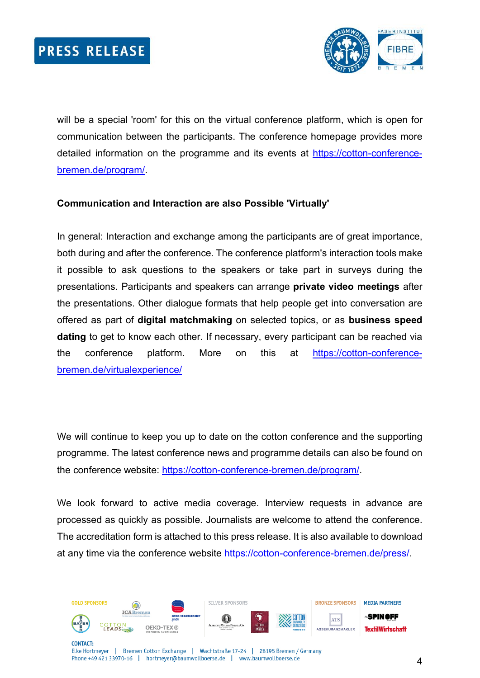

will be a special 'room' for this on the virtual conference platform, which is open for communication between the participants. The conference homepage provides more detailed information on the programme and its events at [https://cotton-conference](https://cotton-conference-bremen.de/program/)[bremen.de/program/.](https://cotton-conference-bremen.de/program/)

#### **Communication and Interaction are also Possible 'Virtually'**

In general: Interaction and exchange among the participants are of great importance, both during and after the conference. The conference platform's interaction tools make it possible to ask questions to the speakers or take part in surveys during the presentations. Participants and speakers can arrange **private video meetings** after the presentations. Other dialogue formats that help people get into conversation are offered as part of **digital matchmaking** on selected topics, or as **business speed dating** to get to know each other. If necessary, every participant can be reached via the conference platform. More on this at [https://cotton-conference](https://cotton-conference-bremen.de/virtualexperience/)[bremen.de/virtualexperience/](https://cotton-conference-bremen.de/virtualexperience/)

We will continue to keep you up to date on the cotton conference and the supporting programme. The latest conference news and programme details can also be found on the conference website: [https://cotton-conference-bremen.de/program/.](https://cotton-conference-bremen.de/program/)

We look forward to active media coverage. Interview requests in advance are processed as quickly as possible. Journalists are welcome to attend the conference. The accreditation form is attached to this press release. It is also available to download at any time via the conference website [https://cotton-conference-bremen.de/press/.](https://cotton-conference-bremen.de/press/)